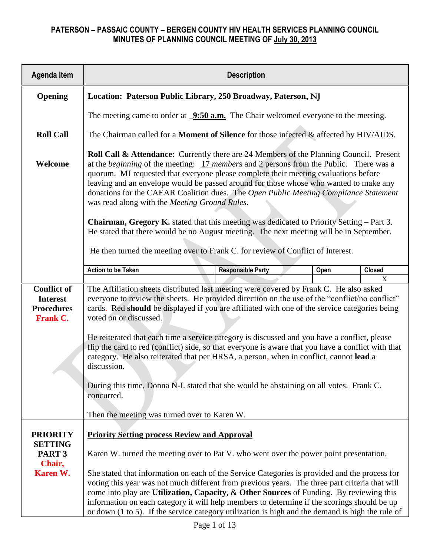| <b>Agenda Item</b>                                                            | <b>Description</b>                                                                                                                                                                                                                                                                                                                                                                                                                                                                                                                                                                                                                                                                                                                                                                             |  |  |  |  |  |  |  |  |  |
|-------------------------------------------------------------------------------|------------------------------------------------------------------------------------------------------------------------------------------------------------------------------------------------------------------------------------------------------------------------------------------------------------------------------------------------------------------------------------------------------------------------------------------------------------------------------------------------------------------------------------------------------------------------------------------------------------------------------------------------------------------------------------------------------------------------------------------------------------------------------------------------|--|--|--|--|--|--|--|--|--|
| Opening                                                                       | Location: Paterson Public Library, 250 Broadway, Paterson, NJ                                                                                                                                                                                                                                                                                                                                                                                                                                                                                                                                                                                                                                                                                                                                  |  |  |  |  |  |  |  |  |  |
|                                                                               | The meeting came to order at <b>9:50 a.m.</b> The Chair welcomed everyone to the meeting.                                                                                                                                                                                                                                                                                                                                                                                                                                                                                                                                                                                                                                                                                                      |  |  |  |  |  |  |  |  |  |
| <b>Roll Call</b>                                                              | The Chairman called for a <b>Moment of Silence</b> for those infected & affected by HIV/AIDS.                                                                                                                                                                                                                                                                                                                                                                                                                                                                                                                                                                                                                                                                                                  |  |  |  |  |  |  |  |  |  |
| Welcome                                                                       | Roll Call & Attendance: Currently there are 24 Members of the Planning Council. Present<br>at the <i>beginning</i> of the meeting: $17$ members and 2 persons from the Public. There was a<br>quorum. MJ requested that everyone please complete their meeting evaluations before<br>leaving and an envelope would be passed around for those whose who wanted to make any<br>donations for the CAEAR Coalition dues. The Open Public Meeting Compliance Statement<br>was read along with the Meeting Ground Rules.                                                                                                                                                                                                                                                                            |  |  |  |  |  |  |  |  |  |
|                                                                               | Chairman, Gregory K. stated that this meeting was dedicated to Priority Setting - Part 3.<br>He stated that there would be no August meeting. The next meeting will be in September.<br>He then turned the meeting over to Frank C. for review of Conflict of Interest.                                                                                                                                                                                                                                                                                                                                                                                                                                                                                                                        |  |  |  |  |  |  |  |  |  |
|                                                                               | <b>Action to be Taken</b><br><b>Responsible Party</b><br><b>Closed</b><br>Open                                                                                                                                                                                                                                                                                                                                                                                                                                                                                                                                                                                                                                                                                                                 |  |  |  |  |  |  |  |  |  |
| <b>Conflict of</b><br><b>Interest</b><br><b>Procedures</b><br><b>Frank C.</b> | X<br>The Affiliation sheets distributed last meeting were covered by Frank C. He also asked<br>everyone to review the sheets. He provided direction on the use of the "conflict/no conflict"<br>cards. Red should be displayed if you are affiliated with one of the service categories being<br>voted on or discussed.<br>He reiterated that each time a service category is discussed and you have a conflict, please<br>flip the card to red (conflict) side, so that everyone is aware that you have a conflict with that<br>category. He also reiterated that per HRSA, a person, when in conflict, cannot lead a<br>discussion.<br>During this time, Donna N-I. stated that she would be abstaining on all votes. Frank C.<br>concurred.<br>Then the meeting was turned over to Karen W. |  |  |  |  |  |  |  |  |  |
| <b>PRIORITY</b><br><b>SETTING</b><br>PART <sub>3</sub><br>Chair,              | <b>Priority Setting process Review and Approval</b><br>Karen W. turned the meeting over to Pat V. who went over the power point presentation.                                                                                                                                                                                                                                                                                                                                                                                                                                                                                                                                                                                                                                                  |  |  |  |  |  |  |  |  |  |
| Karen W.                                                                      | She stated that information on each of the Service Categories is provided and the process for<br>voting this year was not much different from previous years. The three part criteria that will<br>come into play are Utilization, Capacity, & Other Sources of Funding. By reviewing this<br>information on each category it will help members to determine if the scorings should be up<br>or down (1 to 5). If the service category utilization is high and the demand is high the rule of                                                                                                                                                                                                                                                                                                  |  |  |  |  |  |  |  |  |  |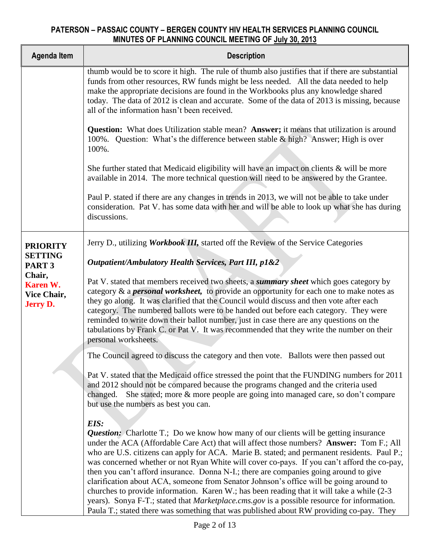| <b>Agenda Item</b>                                                                                                                                                                                                           | <b>Description</b>                                                                                                                                                                                                                                                                                                                                                                                                                                                                                                                                                                                                                                                                                                                                                                                                                                                      |
|------------------------------------------------------------------------------------------------------------------------------------------------------------------------------------------------------------------------------|-------------------------------------------------------------------------------------------------------------------------------------------------------------------------------------------------------------------------------------------------------------------------------------------------------------------------------------------------------------------------------------------------------------------------------------------------------------------------------------------------------------------------------------------------------------------------------------------------------------------------------------------------------------------------------------------------------------------------------------------------------------------------------------------------------------------------------------------------------------------------|
|                                                                                                                                                                                                                              | thumb would be to score it high. The rule of thumb also justifies that if there are substantial<br>funds from other resources, RW funds might be less needed. All the data needed to help<br>make the appropriate decisions are found in the Workbooks plus any knowledge shared<br>today. The data of 2012 is clean and accurate. Some of the data of 2013 is missing, because<br>all of the information hasn't been received.                                                                                                                                                                                                                                                                                                                                                                                                                                         |
|                                                                                                                                                                                                                              | <b>Question:</b> What does Utilization stable mean? Answer; it means that utilization is around<br>Question: What's the difference between stable & high? Answer; High is over<br>100%.<br>100%.                                                                                                                                                                                                                                                                                                                                                                                                                                                                                                                                                                                                                                                                        |
|                                                                                                                                                                                                                              | She further stated that Medicaid eligibility will have an impact on clients & will be more<br>available in 2014. The more technical question will need to be answered by the Grantee.                                                                                                                                                                                                                                                                                                                                                                                                                                                                                                                                                                                                                                                                                   |
|                                                                                                                                                                                                                              | Paul P. stated if there are any changes in trends in 2013, we will not be able to take under<br>consideration. Pat V. has some data with her and will be able to look up what she has during<br>discussions.                                                                                                                                                                                                                                                                                                                                                                                                                                                                                                                                                                                                                                                            |
| <b>PRIORITY</b>                                                                                                                                                                                                              | Jerry D., utilizing <i>Workbook III</i> , started off the Review of the Service Categories                                                                                                                                                                                                                                                                                                                                                                                                                                                                                                                                                                                                                                                                                                                                                                              |
| <b>SETTING</b><br>Outpatient/Ambulatory Health Services, Part III, p1&2<br>PART <sub>3</sub><br>Chair,<br>Karen W.<br>Vice Chair,<br><b>Jerry D.</b><br>personal worksheets.<br>but use the numbers as best you can.<br>EIS: |                                                                                                                                                                                                                                                                                                                                                                                                                                                                                                                                                                                                                                                                                                                                                                                                                                                                         |
|                                                                                                                                                                                                                              | Pat V. stated that members received two sheets, a summary sheet which goes category by<br>category & a <b>personal worksheet</b> , to provide an opportunity for each one to make notes as<br>they go along. It was clarified that the Council would discuss and then vote after each<br>category. The numbered ballots were to be handed out before each category. They were<br>reminded to write down their ballot number, just in case there are any questions on the<br>tabulations by Frank C. or Pat V. It was recommended that they write the number on their                                                                                                                                                                                                                                                                                                    |
|                                                                                                                                                                                                                              | The Council agreed to discuss the category and then vote. Ballots were then passed out                                                                                                                                                                                                                                                                                                                                                                                                                                                                                                                                                                                                                                                                                                                                                                                  |
|                                                                                                                                                                                                                              | Pat V. stated that the Medicaid office stressed the point that the FUNDING numbers for 2011<br>and 2012 should not be compared because the programs changed and the criteria used<br>changed. She stated; more & more people are going into managed care, so don't compare                                                                                                                                                                                                                                                                                                                                                                                                                                                                                                                                                                                              |
|                                                                                                                                                                                                                              | <b>Question:</b> Charlotte T.; Do we know how many of our clients will be getting insurance<br>under the ACA (Affordable Care Act) that will affect those numbers? Answer: Tom F.; All<br>who are U.S. citizens can apply for ACA. Marie B. stated; and permanent residents. Paul P.;<br>was concerned whether or not Ryan White will cover co-pays. If you can't afford the co-pay,<br>then you can't afford insurance. Donna N-I :; there are companies going around to give<br>clarification about ACA, someone from Senator Johnson's office will be going around to<br>churches to provide information. Karen W.; has been reading that it will take a while (2-3<br>years). Sonya F-T.; stated that <i>Marketplace.cms.gov</i> is a possible resource for information.<br>Paula T.; stated there was something that was published about RW providing co-pay. They |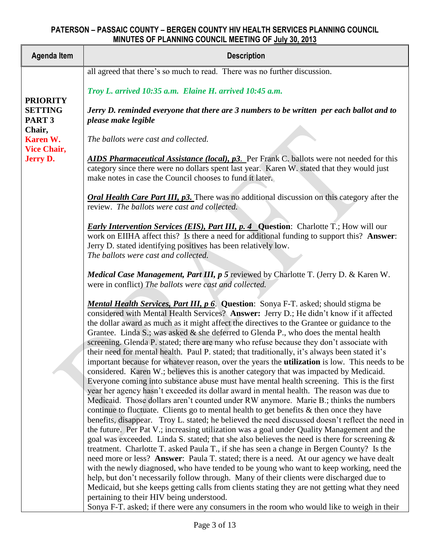| <b>Agenda Item</b>                                                                                                    | <b>Description</b>                                                                                                                                                                                                                                                                                                                                                                                                                                                                                                                                                                                                                                                                                                                                                                                                                                                                                                                                                                                                                                                                                                                                                                                                                                                                                                                                                                                                                                                                                                                                                                                                                                                                                                                                                                                                                                                                                                                                                                                  |
|-----------------------------------------------------------------------------------------------------------------------|-----------------------------------------------------------------------------------------------------------------------------------------------------------------------------------------------------------------------------------------------------------------------------------------------------------------------------------------------------------------------------------------------------------------------------------------------------------------------------------------------------------------------------------------------------------------------------------------------------------------------------------------------------------------------------------------------------------------------------------------------------------------------------------------------------------------------------------------------------------------------------------------------------------------------------------------------------------------------------------------------------------------------------------------------------------------------------------------------------------------------------------------------------------------------------------------------------------------------------------------------------------------------------------------------------------------------------------------------------------------------------------------------------------------------------------------------------------------------------------------------------------------------------------------------------------------------------------------------------------------------------------------------------------------------------------------------------------------------------------------------------------------------------------------------------------------------------------------------------------------------------------------------------------------------------------------------------------------------------------------------------|
|                                                                                                                       | all agreed that there's so much to read. There was no further discussion.                                                                                                                                                                                                                                                                                                                                                                                                                                                                                                                                                                                                                                                                                                                                                                                                                                                                                                                                                                                                                                                                                                                                                                                                                                                                                                                                                                                                                                                                                                                                                                                                                                                                                                                                                                                                                                                                                                                           |
| <b>PRIORITY</b><br><b>SETTING</b><br>PART <sub>3</sub><br>Chair,<br>Karen W.<br><b>Vice Chair,</b><br><b>Jerry D.</b> | Troy L. arrived 10:35 a.m. Elaine H. arrived 10:45 a.m.                                                                                                                                                                                                                                                                                                                                                                                                                                                                                                                                                                                                                                                                                                                                                                                                                                                                                                                                                                                                                                                                                                                                                                                                                                                                                                                                                                                                                                                                                                                                                                                                                                                                                                                                                                                                                                                                                                                                             |
|                                                                                                                       | Jerry D. reminded everyone that there are 3 numbers to be written per each ballot and to<br>please make legible                                                                                                                                                                                                                                                                                                                                                                                                                                                                                                                                                                                                                                                                                                                                                                                                                                                                                                                                                                                                                                                                                                                                                                                                                                                                                                                                                                                                                                                                                                                                                                                                                                                                                                                                                                                                                                                                                     |
|                                                                                                                       | The ballots were cast and collected.                                                                                                                                                                                                                                                                                                                                                                                                                                                                                                                                                                                                                                                                                                                                                                                                                                                                                                                                                                                                                                                                                                                                                                                                                                                                                                                                                                                                                                                                                                                                                                                                                                                                                                                                                                                                                                                                                                                                                                |
|                                                                                                                       | AIDS Pharmaceutical Assistance (local), p3. Per Frank C. ballots were not needed for this<br>category since there were no dollars spent last year. Karen W. stated that they would just<br>make notes in case the Council chooses to fund it later.                                                                                                                                                                                                                                                                                                                                                                                                                                                                                                                                                                                                                                                                                                                                                                                                                                                                                                                                                                                                                                                                                                                                                                                                                                                                                                                                                                                                                                                                                                                                                                                                                                                                                                                                                 |
|                                                                                                                       | <b>Oral Health Care Part III, p3.</b> There was no additional discussion on this category after the<br>review. The ballots were cast and collected.                                                                                                                                                                                                                                                                                                                                                                                                                                                                                                                                                                                                                                                                                                                                                                                                                                                                                                                                                                                                                                                                                                                                                                                                                                                                                                                                                                                                                                                                                                                                                                                                                                                                                                                                                                                                                                                 |
|                                                                                                                       | <i>Early Intervention Services (EIS), Part III, p. 4</i> Question: Charlotte T.; How will our<br>work on EIIHA affect this? Is there a need for additional funding to support this? Answer:<br>Jerry D. stated identifying positives has been relatively low.<br>The ballots were cast and collected.                                                                                                                                                                                                                                                                                                                                                                                                                                                                                                                                                                                                                                                                                                                                                                                                                                                                                                                                                                                                                                                                                                                                                                                                                                                                                                                                                                                                                                                                                                                                                                                                                                                                                               |
|                                                                                                                       | Medical Case Management, Part III, p 5 reviewed by Charlotte T. (Jerry D. & Karen W.<br>were in conflict) The ballots were cast and collected.                                                                                                                                                                                                                                                                                                                                                                                                                                                                                                                                                                                                                                                                                                                                                                                                                                                                                                                                                                                                                                                                                                                                                                                                                                                                                                                                                                                                                                                                                                                                                                                                                                                                                                                                                                                                                                                      |
|                                                                                                                       | <b>Mental Health Services, Part III, p 6. Question:</b> Sonya F-T. asked; should stigma be<br>considered with Mental Health Services? Answer: Jerry D.; He didn't know if it affected<br>the dollar award as much as it might affect the directives to the Grantee or guidance to the<br>Grantee. Linda S.; was asked & she deferred to Glenda P., who does the mental health<br>screening. Glenda P. stated; there are many who refuse because they don't associate with<br>their need for mental health. Paul P. stated; that traditionally, it's always been stated it's<br>important because for whatever reason, over the years the <b>utilization</b> is low. This needs to be<br>considered. Karen W.; believes this is another category that was impacted by Medicaid.<br>Everyone coming into substance abuse must have mental health screening. This is the first<br>year her agency hasn't exceeded its dollar award in mental health. The reason was due to<br>Medicaid. Those dollars aren't counted under RW anymore. Marie B.; thinks the numbers<br>continue to fluctuate. Clients go to mental health to get benefits $\&$ then once they have<br>benefits, disappear. Troy L. stated; he believed the need discussed doesn't reflect the need in<br>the future. Per Pat V.; increasing utilization was a goal under Quality Management and the<br>goal was exceeded. Linda S. stated; that she also believes the need is there for screening $\&$<br>treatment. Charlotte T. asked Paula T., if she has seen a change in Bergen County? Is the<br>need more or less? Answer: Paula T. stated; there is a need. At our agency we have dealt<br>with the newly diagnosed, who have tended to be young who want to keep working, need the<br>help, but don't necessarily follow through. Many of their clients were discharged due to<br>Medicaid, but she keeps getting calls from clients stating they are not getting what they need<br>pertaining to their HIV being understood. |
|                                                                                                                       | Sonya F-T. asked; if there were any consumers in the room who would like to weigh in their                                                                                                                                                                                                                                                                                                                                                                                                                                                                                                                                                                                                                                                                                                                                                                                                                                                                                                                                                                                                                                                                                                                                                                                                                                                                                                                                                                                                                                                                                                                                                                                                                                                                                                                                                                                                                                                                                                          |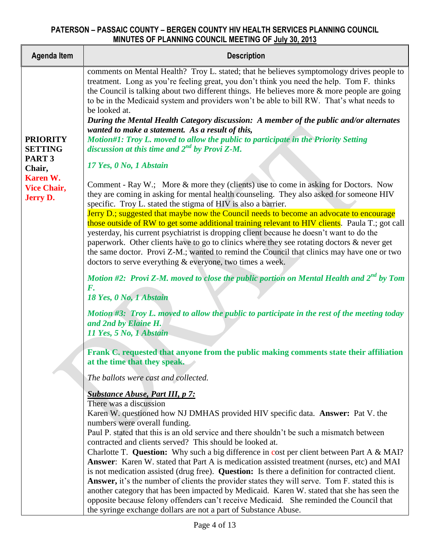| <b>Agenda Item</b>                                | <b>Description</b>                                                                                                                                                                                                                                                                                                                                                                                                                                                                                                                                                                                                                                                                                                                                                                                 |
|---------------------------------------------------|----------------------------------------------------------------------------------------------------------------------------------------------------------------------------------------------------------------------------------------------------------------------------------------------------------------------------------------------------------------------------------------------------------------------------------------------------------------------------------------------------------------------------------------------------------------------------------------------------------------------------------------------------------------------------------------------------------------------------------------------------------------------------------------------------|
|                                                   | comments on Mental Health? Troy L. stated; that he believes symptomology drives people to<br>treatment. Long as you're feeling great, you don't think you need the help. Tom F. thinks<br>the Council is talking about two different things. He believes more $\&$ more people are going<br>to be in the Medicaid system and providers won't be able to bill RW. That's what needs to<br>be looked at.                                                                                                                                                                                                                                                                                                                                                                                             |
| <b>PRIORITY</b><br><b>SETTING</b>                 | During the Mental Health Category discussion: A member of the public and/or alternates<br>wanted to make a statement. As a result of this,<br>Motion#1: Troy L. moved to allow the public to participate in the Priority Setting<br>discussion at this time and $2^{nd}$ by Provi Z-M.                                                                                                                                                                                                                                                                                                                                                                                                                                                                                                             |
| PART <sub>3</sub><br>Chair,                       | 17 Yes, 0 No, 1 Abstain                                                                                                                                                                                                                                                                                                                                                                                                                                                                                                                                                                                                                                                                                                                                                                            |
| Karen W.<br><b>Vice Chair,</b><br><b>Jerry D.</b> | Comment - Ray W.; More & more they (clients) use to come in asking for Doctors. Now<br>they are coming in asking for mental health counseling. They also asked for someone HIV<br>specific. Troy L. stated the stigma of HIV is also a barrier.<br>Jerry D.; suggested that maybe now the Council needs to become an advocate to encourage<br>those outside of RW to get some additional training relevant to HIV clients. Paula T.; got call<br>yesterday, his current psychiatrist is dropping client because he doesn't want to do the<br>paperwork. Other clients have to go to clinics where they see rotating doctors & never get<br>the same doctor. Provi Z-M.; wanted to remind the Council that clinics may have one or two<br>doctors to serve everything & everyone, two times a week. |
|                                                   | Motion #2: Provi Z-M. moved to close the public portion on Mental Health and $2^{nd}$ by Tom                                                                                                                                                                                                                                                                                                                                                                                                                                                                                                                                                                                                                                                                                                       |
|                                                   | $\boldsymbol{F}$ .<br>18 Yes, 0 No, 1 Abstain                                                                                                                                                                                                                                                                                                                                                                                                                                                                                                                                                                                                                                                                                                                                                      |
|                                                   | Motion #3: Troy L. moved to allow the public to participate in the rest of the meeting today<br>and 2nd by Elaine H.<br>11 Yes, 5 No, 1 Abstain                                                                                                                                                                                                                                                                                                                                                                                                                                                                                                                                                                                                                                                    |
|                                                   | Frank C. requested that anyone from the public making comments state their affiliation<br>at the time that they speak.                                                                                                                                                                                                                                                                                                                                                                                                                                                                                                                                                                                                                                                                             |
|                                                   | The ballots were cast and collected.                                                                                                                                                                                                                                                                                                                                                                                                                                                                                                                                                                                                                                                                                                                                                               |
|                                                   | <b>Substance Abuse, Part III, p 7:</b><br>There was a discussion<br>Karen W. questioned how NJ DMHAS provided HIV specific data. Answer: Pat V. the                                                                                                                                                                                                                                                                                                                                                                                                                                                                                                                                                                                                                                                |
|                                                   | numbers were overall funding.<br>Paul P. stated that this is an old service and there shouldn't be such a mismatch between                                                                                                                                                                                                                                                                                                                                                                                                                                                                                                                                                                                                                                                                         |
|                                                   | contracted and clients served? This should be looked at.<br>Charlotte T. Question: Why such a big difference in cost per client between Part A & MAI?                                                                                                                                                                                                                                                                                                                                                                                                                                                                                                                                                                                                                                              |
|                                                   | <b>Answer:</b> Karen W. stated that Part A is medication assisted treatment (nurses, etc) and MAI<br>is not medication assisted (drug free). Question: Is there a definition for contracted client.                                                                                                                                                                                                                                                                                                                                                                                                                                                                                                                                                                                                |
|                                                   | <b>Answer,</b> it's the number of clients the provider states they will serve. Tom F. stated this is<br>another category that has been impacted by Medicaid. Karen W. stated that she has seen the<br>opposite because felony offenders can't receive Medicaid. She reminded the Council that<br>the syringe exchange dollars are not a part of Substance Abuse.                                                                                                                                                                                                                                                                                                                                                                                                                                   |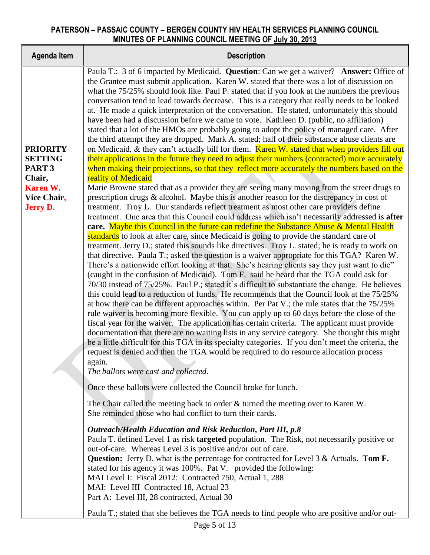| <b>Agenda Item</b>                                                                                      | <b>Description</b>                                                                                                                                                                                                                                                                                                                                                                                                                                                                                                                                                                                                                                                                                                                                                                                                                                                                                                                                                                                                                                                                                                                                                                                                                                                                                                                                                                                                                                                                                                                                                                                                                                                                                                                                                                                                                                                                                                                                                                                                                                                                                                                                                                                                                                                                                                                                                                                                                                                                                                                                                                                                                                                                                                                                                                                                                                                                                                                            |
|---------------------------------------------------------------------------------------------------------|-----------------------------------------------------------------------------------------------------------------------------------------------------------------------------------------------------------------------------------------------------------------------------------------------------------------------------------------------------------------------------------------------------------------------------------------------------------------------------------------------------------------------------------------------------------------------------------------------------------------------------------------------------------------------------------------------------------------------------------------------------------------------------------------------------------------------------------------------------------------------------------------------------------------------------------------------------------------------------------------------------------------------------------------------------------------------------------------------------------------------------------------------------------------------------------------------------------------------------------------------------------------------------------------------------------------------------------------------------------------------------------------------------------------------------------------------------------------------------------------------------------------------------------------------------------------------------------------------------------------------------------------------------------------------------------------------------------------------------------------------------------------------------------------------------------------------------------------------------------------------------------------------------------------------------------------------------------------------------------------------------------------------------------------------------------------------------------------------------------------------------------------------------------------------------------------------------------------------------------------------------------------------------------------------------------------------------------------------------------------------------------------------------------------------------------------------------------------------------------------------------------------------------------------------------------------------------------------------------------------------------------------------------------------------------------------------------------------------------------------------------------------------------------------------------------------------------------------------------------------------------------------------------------------------------------------------|
| <b>PRIORITY</b><br><b>SETTING</b><br>PART <sub>3</sub><br>Chair,<br>Karen W.<br>Vice Chair,<br>Jerry D. | Paula T.: 3 of 6 impacted by Medicaid. Question: Can we get a waiver? Answer: Office of<br>the Grantee must submit application. Karen W. stated that there was a lot of discussion on<br>what the 75/25% should look like. Paul P. stated that if you look at the numbers the previous<br>conversation tend to lead towards decrease. This is a category that really needs to be looked<br>at. He made a quick interpretation of the conversation. He stated, unfortunately this should<br>have been had a discussion before we came to vote. Kathleen D. (public, no affiliation)<br>stated that a lot of the HMOs are probably going to adopt the policy of managed care. After<br>the third attempt they are dropped. Mark A. stated; half of their substance abuse clients are<br>on Medicaid, & they can't actually bill for them. Karen W. stated that when providers fill out<br>their applications in the future they need to adjust their numbers (contracted) more accurately<br>when making their projections, so that they reflect more accurately the numbers based on the<br>reality of Medicaid<br>Marie Browne stated that as a provider they are seeing many moving from the street drugs to<br>prescription drugs & alcohol. Maybe this is another reason for the discrepancy in cost of<br>treatment. Troy L. Our standards reflect treatment as most other care providers define<br>treatment. One area that this Council could address which isn't necessarily addressed is after<br>care. Maybe this Council in the future can redefine the Substance Abuse & Mental Health<br>standards to look at after care, since Medicaid is going to provide the standard care of<br>treatment. Jerry D.; stated this sounds like directives. Troy L. stated; he is ready to work on<br>that directive. Paula T.; asked the question is a waiver appropriate for this TGA? Karen W.<br>There's a nationwide effort looking at that. She's hearing clients say they just want to die"<br>(caught in the confusion of Medicaid). Tom F. said he heard that the TGA could ask for<br>70/30 instead of 75/25%. Paul P.; stated it's difficult to substantiate the change. He believes<br>this could lead to a reduction of funds. He recommends that the Council look at the 75/25%<br>at how there can be different approaches within. Per Pat V.; the rule states that the 75/25%<br>rule waiver is becoming more flexible. You can apply up to 60 days before the close of the<br>fiscal year for the waiver. The application has certain criteria. The applicant must provide<br>documentation that there are no waiting lists in any service category. She thought this might<br>be a little difficult for this TGA in its specialty categories. If you don't meet the criteria, the<br>request is denied and then the TGA would be required to do resource allocation process<br>again.<br>The ballots were cast and collected. |
|                                                                                                         | Once these ballots were collected the Council broke for lunch.                                                                                                                                                                                                                                                                                                                                                                                                                                                                                                                                                                                                                                                                                                                                                                                                                                                                                                                                                                                                                                                                                                                                                                                                                                                                                                                                                                                                                                                                                                                                                                                                                                                                                                                                                                                                                                                                                                                                                                                                                                                                                                                                                                                                                                                                                                                                                                                                                                                                                                                                                                                                                                                                                                                                                                                                                                                                                |
|                                                                                                         | The Chair called the meeting back to order & turned the meeting over to Karen W.<br>She reminded those who had conflict to turn their cards.                                                                                                                                                                                                                                                                                                                                                                                                                                                                                                                                                                                                                                                                                                                                                                                                                                                                                                                                                                                                                                                                                                                                                                                                                                                                                                                                                                                                                                                                                                                                                                                                                                                                                                                                                                                                                                                                                                                                                                                                                                                                                                                                                                                                                                                                                                                                                                                                                                                                                                                                                                                                                                                                                                                                                                                                  |
|                                                                                                         | Outreach/Health Education and Risk Reduction, Part III, p.8<br>Paula T. defined Level 1 as risk targeted population. The Risk, not necessarily positive or<br>out-of-care. Whereas Level 3 is positive and/or out of care.<br><b>Question:</b> Jerry D. what is the percentage for contracted for Level $3 &$ Actuals. Tom F.<br>stated for his agency it was 100%. Pat V. provided the following:<br>MAI Level I: Fiscal 2012: Contracted 750, Actual 1, 288<br>MAI: Level III Contracted 18, Actual 23<br>Part A: Level III, 28 contracted, Actual 30<br>Paula T.; stated that she believes the TGA needs to find people who are positive and/or out-                                                                                                                                                                                                                                                                                                                                                                                                                                                                                                                                                                                                                                                                                                                                                                                                                                                                                                                                                                                                                                                                                                                                                                                                                                                                                                                                                                                                                                                                                                                                                                                                                                                                                                                                                                                                                                                                                                                                                                                                                                                                                                                                                                                                                                                                                       |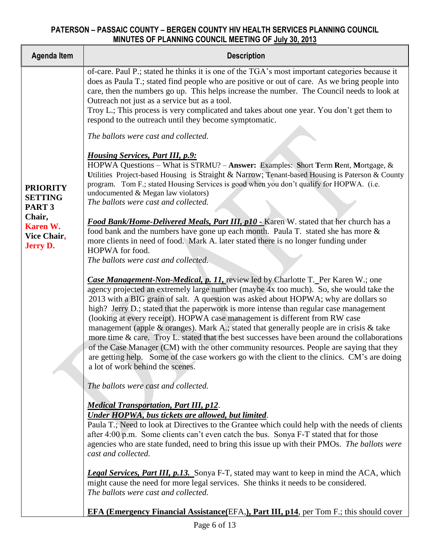| <b>Agenda Item</b>                                     | <b>Description</b>                                                                                                                                                                                                                                                                                                                                                                                                                                                                                                                                                                                                                                                                                                                                                                                                                                                        |
|--------------------------------------------------------|---------------------------------------------------------------------------------------------------------------------------------------------------------------------------------------------------------------------------------------------------------------------------------------------------------------------------------------------------------------------------------------------------------------------------------------------------------------------------------------------------------------------------------------------------------------------------------------------------------------------------------------------------------------------------------------------------------------------------------------------------------------------------------------------------------------------------------------------------------------------------|
|                                                        | of-care. Paul P.; stated he thinks it is one of the TGA's most important categories because it<br>does as Paula T.; stated find people who are positive or out of care. As we bring people into<br>care, then the numbers go up. This helps increase the number. The Council needs to look at<br>Outreach not just as a service but as a tool.<br>Troy L.; This process is very complicated and takes about one year. You don't get them to<br>respond to the outreach until they become symptomatic.                                                                                                                                                                                                                                                                                                                                                                     |
|                                                        | The ballots were cast and collected.                                                                                                                                                                                                                                                                                                                                                                                                                                                                                                                                                                                                                                                                                                                                                                                                                                      |
| <b>PRIORITY</b><br><b>SETTING</b><br>PART <sub>3</sub> | <b>Housing Services, Part III, p.9:</b><br>HOPWA Questions - What is STRMU? - Answer: Examples: Short Term Rent, Mortgage, &<br>Utilities Project-based Housing is Straight & Narrow; Tenant-based Housing is Paterson & County<br>program. Tom F.; stated Housing Services is good when you don't qualify for HOPWA. (i.e.<br>undocumented & Megan law violators)<br>The ballots were cast and collected.                                                                                                                                                                                                                                                                                                                                                                                                                                                                |
| Chair,<br>Karen W.<br>Vice Chair,<br>Jerry D.          | Food Bank/Home-Delivered Meals, Part III, p10 - Karen W. stated that her church has a<br>food bank and the numbers have gone up each month. Paula T. stated she has more &<br>more clients in need of food. Mark A. later stated there is no longer funding under<br>HOPWA for food.<br>The ballots were cast and collected.                                                                                                                                                                                                                                                                                                                                                                                                                                                                                                                                              |
|                                                        | Case Management-Non-Medical, p. 11, review led by Charlotte T. Per Karen W.; one<br>agency projected an extremely large number (maybe 4x too much). So, she would take the<br>2013 with a BIG grain of salt. A question was asked about HOPWA; why are dollars so<br>high? Jerry D.; stated that the paperwork is more intense than regular case management<br>(looking at every receipt). HOPWA case management is different from RW case<br>management (apple & oranges). Mark A.; stated that generally people are in crisis & take<br>more time $\&$ care. Troy L. stated that the best successes have been around the collaborations<br>of the Case Manager (CM) with the other community resources. People are saying that they<br>are getting help. Some of the case workers go with the client to the clinics. CM's are doing<br>a lot of work behind the scenes. |
|                                                        | The ballots were cast and collected.                                                                                                                                                                                                                                                                                                                                                                                                                                                                                                                                                                                                                                                                                                                                                                                                                                      |
|                                                        | <b>Medical Transportation, Part III, p12.</b><br>Under HOPWA, bus tickets are allowed, but limited.<br>Paula T.; Need to look at Directives to the Grantee which could help with the needs of clients<br>after 4:00 p.m. Some clients can't even catch the bus. Sonya F-T stated that for those<br>agencies who are state funded, need to bring this issue up with their PMOs. The ballots were<br>cast and collected.                                                                                                                                                                                                                                                                                                                                                                                                                                                    |
|                                                        | <b>Legal Services, Part III, p.13.</b> Sonya F-T, stated may want to keep in mind the ACA, which<br>might cause the need for more legal services. She thinks it needs to be considered.<br>The ballots were cast and collected.                                                                                                                                                                                                                                                                                                                                                                                                                                                                                                                                                                                                                                           |
|                                                        | <b>EFA (Emergency Financial Assistance</b> (EFA,), Part III, p14, per Tom F.; this should cover                                                                                                                                                                                                                                                                                                                                                                                                                                                                                                                                                                                                                                                                                                                                                                           |

Page 6 of 13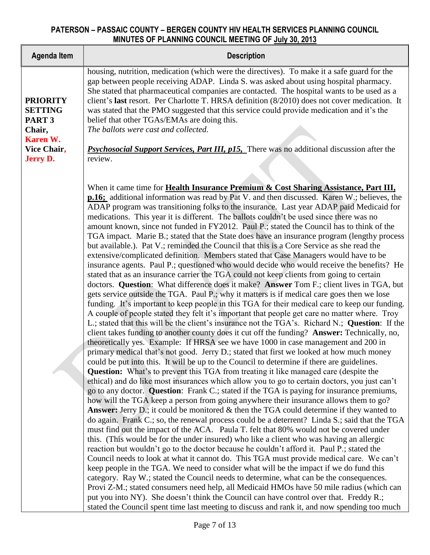| <b>Agenda Item</b>                                                                                             | <b>Description</b>                                                                                                                                                                                                                                                                                                                                                                                                                                                                                                                                                                                                                                                                                                                                                                                                                                                                                                                                                                                                                                                                                                                                                                                                                                                                                                                                                                                                                                                                                                                                                                                                                                                                                                                                                                                                                                                                                                                                                                                                                                                                                                                                                                                                                                                                                                                                                                                                                                                                                                                                                                                                                                                                                                                                                                                                                                                                                                                                                                                                                                                                                                                                                                                        |
|----------------------------------------------------------------------------------------------------------------|-----------------------------------------------------------------------------------------------------------------------------------------------------------------------------------------------------------------------------------------------------------------------------------------------------------------------------------------------------------------------------------------------------------------------------------------------------------------------------------------------------------------------------------------------------------------------------------------------------------------------------------------------------------------------------------------------------------------------------------------------------------------------------------------------------------------------------------------------------------------------------------------------------------------------------------------------------------------------------------------------------------------------------------------------------------------------------------------------------------------------------------------------------------------------------------------------------------------------------------------------------------------------------------------------------------------------------------------------------------------------------------------------------------------------------------------------------------------------------------------------------------------------------------------------------------------------------------------------------------------------------------------------------------------------------------------------------------------------------------------------------------------------------------------------------------------------------------------------------------------------------------------------------------------------------------------------------------------------------------------------------------------------------------------------------------------------------------------------------------------------------------------------------------------------------------------------------------------------------------------------------------------------------------------------------------------------------------------------------------------------------------------------------------------------------------------------------------------------------------------------------------------------------------------------------------------------------------------------------------------------------------------------------------------------------------------------------------------------------------------------------------------------------------------------------------------------------------------------------------------------------------------------------------------------------------------------------------------------------------------------------------------------------------------------------------------------------------------------------------------------------------------------------------------------------------------------------------|
| <b>PRIORITY</b><br><b>SETTING</b><br>PART <sub>3</sub><br>Chair,<br>Karen W.<br>Vice Chair,<br><b>Jerry D.</b> | housing, nutrition, medication (which were the directives). To make it a safe guard for the<br>gap between people receiving ADAP. Linda S. was asked about using hospital pharmacy.<br>She stated that pharmaceutical companies are contacted. The hospital wants to be used as a<br>client's last resort. Per Charlotte T. HRSA definition (8/2010) does not cover medication. It<br>was stated that the PMO suggested that this service could provide medication and it's the<br>belief that other TGAs/EMAs are doing this.<br>The ballots were cast and collected.<br><b>Psychosocial Support Services, Part III, p15,</b> There was no additional discussion after the<br>review.                                                                                                                                                                                                                                                                                                                                                                                                                                                                                                                                                                                                                                                                                                                                                                                                                                                                                                                                                                                                                                                                                                                                                                                                                                                                                                                                                                                                                                                                                                                                                                                                                                                                                                                                                                                                                                                                                                                                                                                                                                                                                                                                                                                                                                                                                                                                                                                                                                                                                                                    |
|                                                                                                                | When it came time for Health Insurance Premium & Cost Sharing Assistance, Part III,                                                                                                                                                                                                                                                                                                                                                                                                                                                                                                                                                                                                                                                                                                                                                                                                                                                                                                                                                                                                                                                                                                                                                                                                                                                                                                                                                                                                                                                                                                                                                                                                                                                                                                                                                                                                                                                                                                                                                                                                                                                                                                                                                                                                                                                                                                                                                                                                                                                                                                                                                                                                                                                                                                                                                                                                                                                                                                                                                                                                                                                                                                                       |
|                                                                                                                | <b>p.16;</b> additional information was read by Pat V. and then discussed. Karen W.; believes, the<br>ADAP program was transitioning folks to the insurance. Last year ADAP paid Medicaid for<br>medications. This year it is different. The ballots couldn't be used since there was no<br>amount known, since not funded in FY2012. Paul P.; stated the Council has to think of the<br>TGA impact. Marie B.; stated that the State does have an insurance program (lengthy process<br>but available.). Pat V.; reminded the Council that this is a Core Service as she read the<br>extensive/complicated definition. Members stated that Case Managers would have to be<br>insurance agents. Paul P.; questioned who would decide who would receive the benefits? He<br>stated that as an insurance carrier the TGA could not keep clients from going to certain<br>doctors. Question: What difference does it make? Answer Tom F.; client lives in TGA, but<br>gets service outside the TGA. Paul P.; why it matters is if medical care goes then we lose<br>funding. It's important to keep people in this TGA for their medical care to keep our funding.<br>A couple of people stated they felt it's important that people get care no matter where. Troy<br>L.; stated that this will be the client's insurance not the TGA's. Richard N.; Question: If the<br>client takes funding to another county does it cut off the funding? Answer: Technically, no,<br>theoretically yes. Example: If HRSA see we have 1000 in case management and 200 in<br>primary medical that's not good. Jerry D.; stated that first we looked at how much money<br>could be put into this. It will be up to the Council to determine if there are guidelines.<br><b>Question:</b> What's to prevent this TGA from treating it like managed care (despite the<br>ethical) and do like most insurances which allow you to go to certain doctors, you just can't<br>go to any doctor. Question: Frank C.; stated if the TGA is paying for insurance premiums,<br>how will the TGA keep a person from going anywhere their insurance allows them to go?<br><b>Answer:</b> Jerry D.; it could be monitored $\&$ then the TGA could determine if they wanted to<br>do again. Frank C.; so, the renewal process could be a deterrent? Linda S.; said that the TGA<br>must find out the impact of the ACA. Paula T. felt that 80% would not be covered under<br>this. (This would be for the under insured) who like a client who was having an allergic<br>reaction but wouldn't go to the doctor because he couldn't afford it. Paul P .; stated the<br>Council needs to look at what it cannot do. This TGA must provide medical care. We can't<br>keep people in the TGA. We need to consider what will be the impact if we do fund this<br>category. Ray W.; stated the Council needs to determine, what can be the consequences.<br>Provi Z-M.; stated consumers need help, all Medicaid HMOs have 50 mile radius (which can<br>put you into NY). She doesn't think the Council can have control over that. Freddy R.;<br>stated the Council spent time last meeting to discuss and rank it, and now spending too much |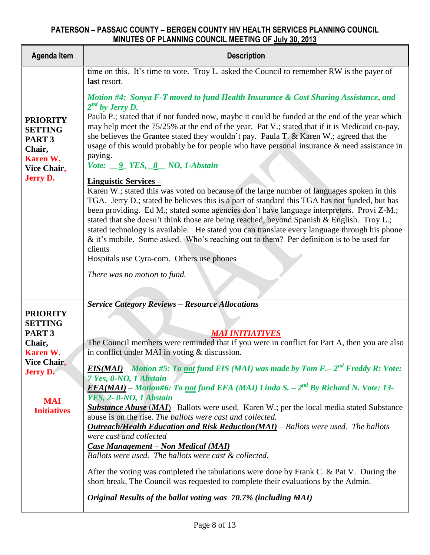| <b>Agenda Item</b>                                                                                                                                 | <b>Description</b>                                                                                                                                                                                                                                                                                                                                                                                                                                                                                                                                                                                                                                                                                                                                                                                                                                                                                                                                                                                                                                                        |
|----------------------------------------------------------------------------------------------------------------------------------------------------|---------------------------------------------------------------------------------------------------------------------------------------------------------------------------------------------------------------------------------------------------------------------------------------------------------------------------------------------------------------------------------------------------------------------------------------------------------------------------------------------------------------------------------------------------------------------------------------------------------------------------------------------------------------------------------------------------------------------------------------------------------------------------------------------------------------------------------------------------------------------------------------------------------------------------------------------------------------------------------------------------------------------------------------------------------------------------|
|                                                                                                                                                    | time on this. It's time to vote. Troy L. asked the Council to remember RW is the payer of<br>last resort.                                                                                                                                                                                                                                                                                                                                                                                                                                                                                                                                                                                                                                                                                                                                                                                                                                                                                                                                                                 |
| <b>PRIORITY</b><br><b>SETTING</b><br>PART <sub>3</sub><br>Chair,<br>Karen W.<br>Vice Chair,                                                        | Motion #4: Sonya F-T moved to fund Health Insurance & Cost Sharing Assistance, and<br>$2^{nd}$ by Jerry D.<br>Paula P.; stated that if not funded now, maybe it could be funded at the end of the year which<br>may help meet the 75/25% at the end of the year. Pat V.; stated that if it is Medicaid co-pay,<br>she believes the Grantee stated they wouldn't pay. Paula T. & Karen W.; agreed that the<br>usage of this would probably be for people who have personal insurance & need assistance in<br>paying.<br>Vote: $9$ YES, $8$ NO, 1-Abstain                                                                                                                                                                                                                                                                                                                                                                                                                                                                                                                   |
| <b>Jerry D.</b>                                                                                                                                    | <u>Linguistic Services –</u><br>Karen W.; stated this was voted on because of the large number of languages spoken in this<br>TGA. Jerry D.; stated he believes this is a part of standard this TGA has not funded, but has<br>been providing. Ed M.; stated some agencies don't have language interpreters. Provi Z-M.;<br>stated that she doesn't think those are being reached, beyond Spanish & English. Troy L.;<br>stated technology is available. He stated you can translate every language through his phone<br>& it's mobile. Some asked. Who's reaching out to them? Per definition is to be used for<br>clients<br>Hospitals use Cyra-com. Others use phones                                                                                                                                                                                                                                                                                                                                                                                                  |
|                                                                                                                                                    | There was no motion to fund.                                                                                                                                                                                                                                                                                                                                                                                                                                                                                                                                                                                                                                                                                                                                                                                                                                                                                                                                                                                                                                              |
| <b>PRIORITY</b><br><b>SETTING</b><br>PART <sub>3</sub><br>Chair,<br>Karen W.<br>Vice Chair,<br><b>Jerry D.</b><br><b>MAI</b><br><b>Initiatives</b> | <b>Service Category Reviews - Resource Allocations</b><br><b>MAI INITIATIVES</b><br>The Council members were reminded that if you were in conflict for Part A, then you are also<br>in conflict under MAI in voting & discussion.<br><b>EIS(MAI)</b> – Motion #5: To not fund EIS (MAI) was made by Tom $F - 2^{nd}$ Freddy R: Vote:<br>7 Yes, 0-NO, 1 Abstain<br><b>EFA(MAI)</b> – Motion#6: To not fund EFA (MAI) Linda S. $-2^{nd}$ By Richard N. Vote: 13-<br>YES, 2-0-NO, 1 Abstain<br><b>Substance Abuse (MAI)</b> Ballots were used. Karen W.; per the local media stated Substance<br>abuse is on the rise. The ballots were cast and collected.<br><b>Outreach/Health Education and Risk Reduction(MAI)</b> – Ballots were used. The ballots<br>were cast and collected<br><u>Case Management – Non Medical (MAI)</u><br>Ballots were used. The ballots were cast & collected.<br>After the voting was completed the tabulations were done by Frank C. & Pat V. During the<br>short break, The Council was requested to complete their evaluations by the Admin. |
|                                                                                                                                                    | Original Results of the ballot voting was 70.7% (including MAI)                                                                                                                                                                                                                                                                                                                                                                                                                                                                                                                                                                                                                                                                                                                                                                                                                                                                                                                                                                                                           |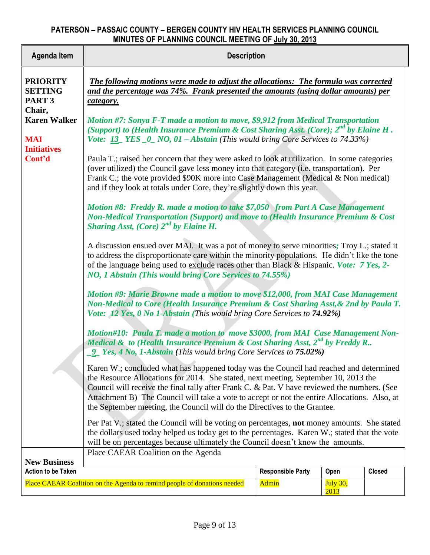| <b>PRIORITY</b><br><b>The following motions were made to adjust the allocations: The formula was corrected</b><br><b>SETTING</b><br>and the percentage was 74%. Frank presented the amounts (using dollar amounts) per<br>PART <sub>3</sub><br>category.<br>Chair,<br><b>Karen Walker</b><br>Motion #7: Sonya F-T made a motion to move, \$9,912 from Medical Transportation<br>(Support) to (Health Insurance Premium & Cost Sharing Asst. (Core); $2^{nd}$ by Elaine H.<br>Vote: 13 YES $\mu$ NO, 01 - Abstain (This would bring Core Services to 74.33%)<br><b>MAI</b><br><b>Initiatives</b><br>Paula T.; raised her concern that they were asked to look at utilization. In some categories<br>Cont'd<br>(over utilized) the Council gave less money into that category (i.e. transportation). Per<br>Frank C.; the vote provided \$90K more into Case Management (Medical & Non medical)<br>and if they look at totals under Core, they're slightly down this year.<br>Motion #8: Freddy R. made a motion to take \$7,050 from Part A Case Management<br><b>Non-Medical Transportation (Support) and move to (Health Insurance Premium &amp; Cost</b><br>Sharing Asst, (Core) $2^{nd}$ by Elaine H.<br>A discussion ensued over MAI. It was a pot of money to serve minorities, Troy L.; stated it<br>to address the disproportionate care within the minority populations. He didn't like the tone<br>of the language being used to exclude races other than Black & Hispanic. Vote: 7 Yes, 2-<br>NO, 1 Abstain (This would bring Core Services to 74.55%)<br>Motion #9: Marie Browne made a motion to move \$12,000, from MAI Case Management<br>Non-Medical to Core (Health Insurance Premium & Cost Sharing Asst, & 2nd by Paula T.<br>Vote: 12 Yes, 0 No 1-Abstain (This would bring Core Services to 74.92%)<br>Motion#10: Paula T. made a motion to move \$3000, from MAI Case Management Non-<br>Medical & to (Health Insurance Premium & Cost Sharing Asst, $2^{nd}$ by Freddy R<br>9 Yes, 4 No, 1-Abstain (This would bring Core Services to 75.02%)<br>Karen W.; concluded what has happened today was the Council had reached and determined<br>the Resource Allocations for 2014. She stated, next meeting, September 10, 2013 the<br>Council will receive the final tally after Frank C. & Pat. V have reviewed the numbers. (See<br>Attachment B) The Council will take a vote to accept or not the entire Allocations. Also, at<br>the September meeting, the Council will do the Directives to the Grantee.<br>Per Pat V .; stated the Council will be voting on percentages, not money amounts. She stated<br>the dollars used today helped us today get to the percentages. Karen W.; stated that the vote<br>will be on percentages because ultimately the Council doesn't know the amounts.<br>Place CAEAR Coalition on the Agenda<br><b>New Business</b><br><b>Responsible Party</b><br><b>Action to be Taken</b><br><b>Closed</b><br>Open<br>Place CAEAR Coalition on the Agenda to remind people of donations needed<br>Admin<br>July 30, | <b>Agenda Item</b> | <b>Description</b> |      |  |  |  |  |  |  |
|------------------------------------------------------------------------------------------------------------------------------------------------------------------------------------------------------------------------------------------------------------------------------------------------------------------------------------------------------------------------------------------------------------------------------------------------------------------------------------------------------------------------------------------------------------------------------------------------------------------------------------------------------------------------------------------------------------------------------------------------------------------------------------------------------------------------------------------------------------------------------------------------------------------------------------------------------------------------------------------------------------------------------------------------------------------------------------------------------------------------------------------------------------------------------------------------------------------------------------------------------------------------------------------------------------------------------------------------------------------------------------------------------------------------------------------------------------------------------------------------------------------------------------------------------------------------------------------------------------------------------------------------------------------------------------------------------------------------------------------------------------------------------------------------------------------------------------------------------------------------------------------------------------------------------------------------------------------------------------------------------------------------------------------------------------------------------------------------------------------------------------------------------------------------------------------------------------------------------------------------------------------------------------------------------------------------------------------------------------------------------------------------------------------------------------------------------------------------------------------------------------------------------------------------------------------------------------------------------------------------------------------------------------------------------------------------------------------------------------------------------------------------------------------------------------------------------------------------------------------------------------------------------------------------------------------------------------------------------------------------------------------------------------------------------------------------|--------------------|--------------------|------|--|--|--|--|--|--|
|                                                                                                                                                                                                                                                                                                                                                                                                                                                                                                                                                                                                                                                                                                                                                                                                                                                                                                                                                                                                                                                                                                                                                                                                                                                                                                                                                                                                                                                                                                                                                                                                                                                                                                                                                                                                                                                                                                                                                                                                                                                                                                                                                                                                                                                                                                                                                                                                                                                                                                                                                                                                                                                                                                                                                                                                                                                                                                                                                                                                                                                                        |                    |                    |      |  |  |  |  |  |  |
|                                                                                                                                                                                                                                                                                                                                                                                                                                                                                                                                                                                                                                                                                                                                                                                                                                                                                                                                                                                                                                                                                                                                                                                                                                                                                                                                                                                                                                                                                                                                                                                                                                                                                                                                                                                                                                                                                                                                                                                                                                                                                                                                                                                                                                                                                                                                                                                                                                                                                                                                                                                                                                                                                                                                                                                                                                                                                                                                                                                                                                                                        |                    |                    |      |  |  |  |  |  |  |
|                                                                                                                                                                                                                                                                                                                                                                                                                                                                                                                                                                                                                                                                                                                                                                                                                                                                                                                                                                                                                                                                                                                                                                                                                                                                                                                                                                                                                                                                                                                                                                                                                                                                                                                                                                                                                                                                                                                                                                                                                                                                                                                                                                                                                                                                                                                                                                                                                                                                                                                                                                                                                                                                                                                                                                                                                                                                                                                                                                                                                                                                        |                    |                    |      |  |  |  |  |  |  |
|                                                                                                                                                                                                                                                                                                                                                                                                                                                                                                                                                                                                                                                                                                                                                                                                                                                                                                                                                                                                                                                                                                                                                                                                                                                                                                                                                                                                                                                                                                                                                                                                                                                                                                                                                                                                                                                                                                                                                                                                                                                                                                                                                                                                                                                                                                                                                                                                                                                                                                                                                                                                                                                                                                                                                                                                                                                                                                                                                                                                                                                                        |                    |                    | 2013 |  |  |  |  |  |  |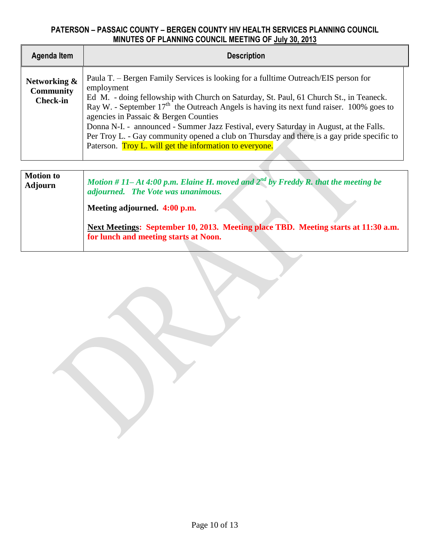| Agenda Item                                         | <b>Description</b>                                                                                                                                                                                                                                                                                                                                                                                                                                                                                                                                                                    |
|-----------------------------------------------------|---------------------------------------------------------------------------------------------------------------------------------------------------------------------------------------------------------------------------------------------------------------------------------------------------------------------------------------------------------------------------------------------------------------------------------------------------------------------------------------------------------------------------------------------------------------------------------------|
| Networking &<br><b>Community</b><br><b>Check-in</b> | Paula T. – Bergen Family Services is looking for a fulltime Outreach/EIS person for<br>employment<br>Ed M. - doing fellowship with Church on Saturday, St. Paul, 61 Church St., in Teaneck.<br>Ray W. - September $17th$ the Outreach Angels is having its next fund raiser. 100% goes to<br>agencies in Passaic & Bergen Counties<br>Donna N-I. - announced - Summer Jazz Festival, every Saturday in August, at the Falls.<br>Per Troy L. - Gay community opened a club on Thursday and there is a gay pride specific to<br>Paterson. Troy L. will get the information to everyone. |

| <b>Motion to</b><br>Adjourn | Motion # 11–At 4:00 p.m. Elaine H. moved and $2^{nd}$ by Freddy R. that the meeting be<br>adjourned. The Vote was unanimous.<br>Meeting adjourned. 4:00 p.m. |
|-----------------------------|--------------------------------------------------------------------------------------------------------------------------------------------------------------|
|                             | Next Meetings: September 10, 2013. Meeting place TBD. Meeting starts at 11:30 a.m.<br>for lunch and meeting starts at Noon.                                  |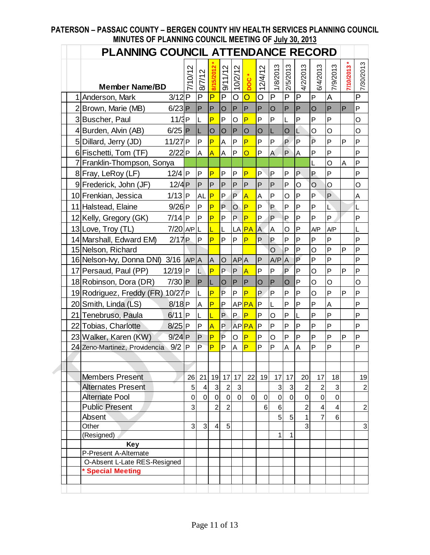| <b>Member Name/BD</b><br>1 Anderson, Mark<br>2 Brown, Marie (MB)<br>3 Buscher, Paul<br>4 Burden, Alvin (AB) | $3/12$ $P$<br>$6/23$ P | 7/10/12             | 8/7/12                   | 8/15/2012                 | <b>21/1/6</b>  | <b>ZL/Z/OL</b> |                         | 12/4/12        | 1/8/2013                | 2/5/2013                  | 4/2/2013       | 6/4/2013                | 7/9/2013       | 7/10/2013    | 7/30/2013 |
|-------------------------------------------------------------------------------------------------------------|------------------------|---------------------|--------------------------|---------------------------|----------------|----------------|-------------------------|----------------|-------------------------|---------------------------|----------------|-------------------------|----------------|--------------|-----------|
|                                                                                                             |                        |                     |                          |                           |                |                | boc*                    |                |                         |                           |                |                         |                |              |           |
|                                                                                                             |                        |                     | P                        | $\overline{P}$            | P              |                |                         |                | $\mathsf{P}$            | P                         | P              | $\vert P$               |                |              | P         |
|                                                                                                             |                        |                     |                          |                           |                | $\circ$        | $\overline{O}$          | $\circ$        |                         |                           |                |                         | A              |              |           |
|                                                                                                             |                        |                     | P                        | ${\sf P}$                 | $\overline{O}$ | $\mathsf P$    | $\mathsf{P}$            | $\mathsf{P}$   | $\overline{O}$          | ${\sf P}$                 | $\mathsf{P}$   | $\circ$                 | $\mathsf{P}$   | $\mathsf{P}$ | P         |
|                                                                                                             | 11/3P                  |                     | L                        | P                         | P              | $\circ$        | $\overline{P}$          | P              | $\mathsf{P}$            | L                         | P              | P                       | P              |              | O         |
|                                                                                                             | $6/25$ P               |                     | L                        | $\overline{O}$            | $\overline{O}$ | $\overline{P}$ | $\circ$                 | lo             | L                       | $\circ$                   | Ĺ              | $\circ$                 | O              |              | O         |
| 5 Dillard, Jerry (JD)                                                                                       | 11/27P                 |                     | $\sf P$                  | P                         | A              | $\sf P$        | P                       | $\mathsf{P}$   | P                       | P                         | $\overline{P}$ | $\overline{P}$          | P              | P            | P         |
| 6 Fischetti, Tom (TF)                                                                                       | 2/22P                  |                     | A                        | $\overline{A}$            | A              | P              | $\overline{O}$          | P              | $\overline{\mathsf{A}}$ | P                         | A              | $\mathsf{P}$            | P              |              | P         |
| 7 Franklin-Thompson, Sonya                                                                                  |                        |                     |                          |                           |                |                |                         |                |                         |                           |                | Ĺ                       | $\overline{O}$ | A            | P         |
| 8 Fray, LeRoy (LF)                                                                                          | $12/4$ P               |                     | $\mathsf{P}$             | P                         | $\mathsf{P}$   | P              | $\overline{P}$          | P              | P                       | P                         | P.             | P                       | P              |              | P         |
| 9 Frederick, John (JF)                                                                                      | 12/4P                  |                     | P                        | P                         | $\overline{P}$ | $\overline{P}$ | P                       | $\overline{P}$ | $\mathsf{P}$            | P                         | O              | $\circ$                 | $\circ$        |              | O         |
| 10 Frenkian, Jessica                                                                                        | $1/13$ P               |                     | <b>AL</b>                | P                         | P              | $\mathsf{P}$   | $\overline{A}$          | A              | P                       | $\circ$                   | P              | P                       | $\overline{P}$ |              | A         |
| 11 Halstead, Elaine                                                                                         | 9/26P                  |                     | P                        | $\overline{P}$            | P.             | $\overline{O}$ | P                       | P              | P                       | P                         | P              | P                       | Ľ              |              | L         |
| 12 Kelly, Gregory (GK)                                                                                      | $7/14$ P               |                     | P                        | P                         | P              | $\overline{P}$ | P                       | P              | P                       | P                         | P              | P                       | P              |              | P         |
| 13 Love, Troy (TL)                                                                                          | $7/20$ $AP$ L          |                     |                          | L                         | L              | LA             | PA                      | A              | A                       | O                         | P              | A/P                     | A/P            |              | L         |
| 14 Marshall, Edward EM)                                                                                     | 2/17P                  |                     | P                        | P                         | P              | P              | P                       | P.             | P                       | P                         | $\mathsf{P}$   | P                       | P              |              | P         |
| 15 Nelson, Richard                                                                                          |                        |                     |                          |                           |                |                |                         |                | O                       | P                         | P              | $\circ$                 | P              | P            | P         |
| 16 Nelson-lvy, Donna DNI) 3/16   AP A                                                                       |                        |                     |                          | $\overline{A}$            | <b>O</b>       | AP A           |                         | $\mathsf{P}$   | $A/P$ <sup>A</sup>      |                           | $\overline{P}$ | P                       | P              |              | P         |
| 17 Persaud, Paul (PP)                                                                                       | 12/19 P                |                     | L.                       | $\overline{P}$            | $P -$          | P              | $\overline{A}$          | P              | $\mathsf{P}$            | P                         | P              | O                       | P              | P            | P         |
| 18 Robinson, Dora (DR)                                                                                      | $7/30$ P               |                     | P                        | L                         | $\overline{O}$ | P              | $\mathsf{P}$            | $\overline{O}$ | $\mathsf{P}$            | $\circ$                   | $\mathsf P$    | $\circ$                 | $\circ$        |              | O         |
| 19 Rodriguez, Freddy (FR) 10/27 P                                                                           |                        |                     | Г                        | P                         | $\mathsf{P}$   | P              | P                       | $\overline{P}$ | P                       | P                         | $\sf P$        | $\circ$                 | P              | P            | P         |
| 20 Smith, Linda (LS)                                                                                        | 8/18P                  |                     | $\overline{\mathsf{A}}$  | $\overline{P}$            | P              |                | AP <b>PA</b>            | $\overline{P}$ | L                       | P                         | P              | P                       | A              |              | P         |
| 21 Tenebruso, Paula                                                                                         | $6/11$  P              |                     | L                        | L                         | P              | P              | P                       | P              | $\circ$                 | P                         | L              | $\mathsf{P}$            | P              |              | P         |
| 22 Tobias, Charlotte                                                                                        | $8/25$ P               |                     | $\mathsf{P}$             | $\overline{A}$            | P              |                | AP <b>PA</b>            | P              | P                       | P                         | P              | P                       | P              |              | P         |
| 23 Walker, Karen (KW)                                                                                       | $9/24$ P               |                     | P                        | $\overline{P}$            | $\overline{P}$ | $\circ$        | P                       | $\overline{P}$ | $\circ$                 | P                         | $\overline{P}$ | $\mathsf{P}$            | P              | P            | P         |
| 24 Zeno-Martinez, Providencia                                                                               | $9/2$ P                |                     | $\overline{P}$           | $\overline{P}$            | $\mathsf{P}$   | A              | $\overline{\mathsf{P}}$ | $\mathsf{P}$   | $\mathsf{P}$            | A                         | $\overline{A}$ | P                       | P              |              | P         |
|                                                                                                             |                        |                     |                          |                           |                |                |                         |                |                         |                           |                |                         |                |              |           |
| <b>Members Present</b>                                                                                      |                        | 26                  | 21                       | 19                        | 17             | 17             | 22                      | 19             | 17                      | 17                        | 20             | 17                      | 18             |              |           |
| <b>Alternates Present</b>                                                                                   |                        | 5                   | $\overline{\mathcal{A}}$ | $\ensuremath{\mathsf{3}}$ | $\overline{c}$ | $\mathsf 3$    |                         |                | $\mathsf 3$             | $\ensuremath{\mathsf{3}}$ | $\overline{2}$ | $\overline{c}$          | 3              |              |           |
| <b>Alternate Pool</b>                                                                                       |                        | $\mathsf{O}\xspace$ | $\overline{0}$           | $\mathsf{O}\xspace$       | $\overline{0}$ | $\mathbf 0$    | $\overline{0}$          | $\pmb{0}$      | $\pmb{0}$               | $\mathbf 0$               | $\overline{0}$ | $\boldsymbol{0}$        | $\mathbf 0$    |              |           |
| <b>Public Present</b>                                                                                       |                        | 3                   |                          | $\overline{2}$            | $\overline{2}$ |                |                         | 6              | 6                       |                           | $\overline{2}$ | $\overline{\mathbf{4}}$ | 4              |              |           |
| Absent                                                                                                      |                        |                     |                          |                           |                |                |                         |                | 5                       | 5                         | $\mathbf{1}$   | $\overline{7}$          | 6              |              |           |
| Other                                                                                                       |                        | 3                   | 3                        | 4                         | 5              |                |                         |                |                         |                           | $\overline{3}$ |                         |                |              |           |
| (Resigned)                                                                                                  |                        |                     |                          |                           |                |                |                         |                | 1                       | 1                         |                |                         |                |              |           |
| Key                                                                                                         |                        |                     |                          |                           |                |                |                         |                |                         |                           |                |                         |                |              |           |
| P-Present A-Alternate                                                                                       |                        |                     |                          |                           |                |                |                         |                |                         |                           |                |                         |                |              |           |
| O-Absent L-Late RES-Resigned<br>* Special Meeting                                                           |                        |                     |                          |                           |                |                |                         |                |                         |                           |                |                         |                |              |           |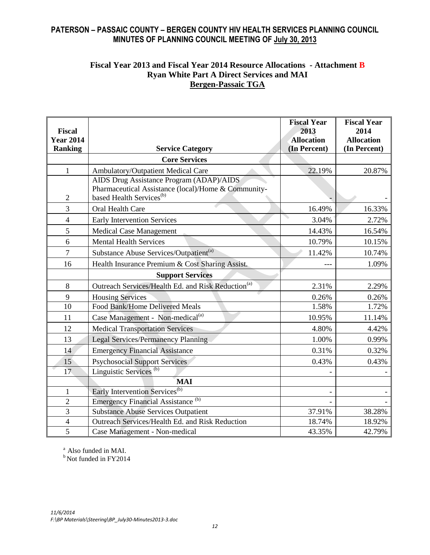#### **Fiscal Year 2013 and Fiscal Year 2014 Resource Allocations - Attachment B Ryan White Part A Direct Services and MAI Bergen-Passaic TGA**

| <b>Fiscal</b><br><b>Year 2014</b><br><b>Ranking</b> | <b>Service Category</b>                                                                                                                 | <b>Fiscal Year</b><br>2013<br><b>Allocation</b><br>(In Percent) | <b>Fiscal Year</b><br>2014<br><b>Allocation</b><br>(In Percent) |
|-----------------------------------------------------|-----------------------------------------------------------------------------------------------------------------------------------------|-----------------------------------------------------------------|-----------------------------------------------------------------|
|                                                     | <b>Core Services</b>                                                                                                                    |                                                                 |                                                                 |
| $\mathbf{1}$                                        | Ambulatory/Outpatient Medical Care                                                                                                      | 22.19%                                                          | 20.87%                                                          |
| $\overline{2}$                                      | AIDS Drug Assistance Program (ADAP)/AIDS<br>Pharmaceutical Assistance (local)/Home & Community-<br>based Health Services <sup>(b)</sup> |                                                                 |                                                                 |
| 3                                                   | Oral Health Care                                                                                                                        | 16.49%                                                          | 16.33%                                                          |
| $\overline{4}$                                      | <b>Early Intervention Services</b>                                                                                                      | 3.04%                                                           | 2.72%                                                           |
| 5                                                   | <b>Medical Case Management</b>                                                                                                          | 14.43%                                                          | 16.54%                                                          |
| 6                                                   | <b>Mental Health Services</b>                                                                                                           | 10.79%                                                          | 10.15%                                                          |
| $\overline{7}$                                      | Substance Abuse Services/Outpatient <sup>(a)</sup>                                                                                      | 11.42%                                                          | 10.74%                                                          |
| 16                                                  | Health Insurance Premium & Cost Sharing Assist.                                                                                         |                                                                 | 1.09%                                                           |
|                                                     | <b>Support Services</b>                                                                                                                 |                                                                 |                                                                 |
| 8                                                   | Outreach Services/Health Ed. and Risk Reduction <sup>(a)</sup>                                                                          | 2.31%                                                           | 2.29%                                                           |
| 9                                                   | <b>Housing Services</b>                                                                                                                 | 0.26%                                                           | 0.26%                                                           |
| 10                                                  | Food Bank/Home Delivered Meals                                                                                                          | 1.58%                                                           | 1.72%                                                           |
| 11                                                  | Case Management - Non-medical <sup>(a)</sup>                                                                                            | 10.95%                                                          | 11.14%                                                          |
| 12                                                  | <b>Medical Transportation Services</b>                                                                                                  | 4.80%                                                           | 4.42%                                                           |
| 13                                                  | <b>Legal Services/Permanency Planning</b>                                                                                               | 1.00%                                                           | 0.99%                                                           |
| 14                                                  | <b>Emergency Financial Assistance</b>                                                                                                   | 0.31%                                                           | 0.32%                                                           |
| 15                                                  | <b>Psychosocial Support Services</b>                                                                                                    | 0.43%                                                           | 0.43%                                                           |
| 17                                                  | Linguistic Services <sup>(b)</sup>                                                                                                      |                                                                 |                                                                 |
|                                                     | <b>MAI</b>                                                                                                                              |                                                                 |                                                                 |
| $\mathbf{1}$                                        | Early Intervention Services <sup>(b)</sup>                                                                                              |                                                                 |                                                                 |
| $\overline{2}$                                      | Emergency Financial Assistance <sup>(b)</sup>                                                                                           |                                                                 |                                                                 |
| 3                                                   | <b>Substance Abuse Services Outpatient</b>                                                                                              | 37.91%                                                          | 38.28%                                                          |
| 4                                                   | Outreach Services/Health Ed. and Risk Reduction                                                                                         | 18.74%                                                          | 18.92%                                                          |
| 5                                                   | Case Management - Non-medical                                                                                                           | 43.35%                                                          | 42.79%                                                          |

<sup>a</sup> Also funded in MAI.

 $b$ Not funded in FY2014